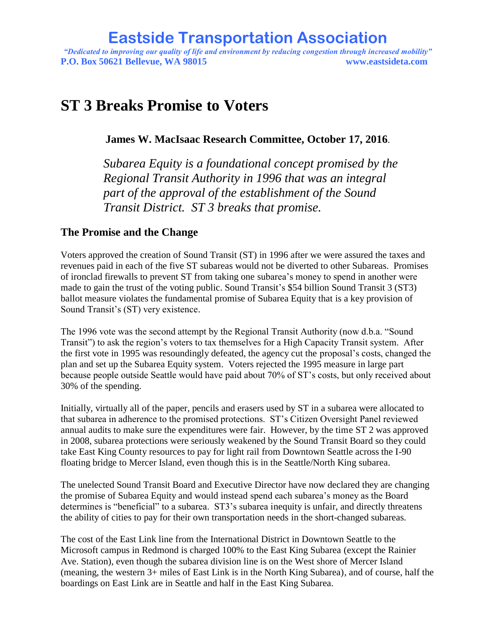*"Dedicated to improving our quality of life and environment by reducing congestion through increased mobility"* **P.O. Box 50621 Bellevue, WA 98015 www.eastsideta.com**

# **ST 3 Breaks Promise to Voters**

**James W. MacIsaac Research Committee, October 17, 2016**.

*Subarea Equity is a foundational concept promised by the Regional Transit Authority in 1996 that was an integral part of the approval of the establishment of the Sound Transit District. ST 3 breaks that promise.*

#### **The Promise and the Change**

Voters approved the creation of Sound Transit (ST) in 1996 after we were assured the taxes and revenues paid in each of the five ST subareas would not be diverted to other Subareas. Promises of ironclad firewalls to prevent ST from taking one subarea's money to spend in another were made to gain the trust of the voting public. Sound Transit's \$54 billion Sound Transit 3 (ST3) ballot measure violates the fundamental promise of Subarea Equity that is a key provision of Sound Transit's (ST) very existence.

The 1996 vote was the second attempt by the Regional Transit Authority (now d.b.a. "Sound Transit") to ask the region's voters to tax themselves for a High Capacity Transit system. After the first vote in 1995 was resoundingly defeated, the agency cut the proposal's costs, changed the plan and set up the Subarea Equity system. Voters rejected the 1995 measure in large part because people outside Seattle would have paid about 70% of ST's costs, but only received about 30% of the spending.

Initially, virtually all of the paper, pencils and erasers used by ST in a subarea were allocated to that subarea in adherence to the promised protections. ST's Citizen Oversight Panel reviewed annual audits to make sure the expenditures were fair. However, by the time ST 2 was approved in 2008, subarea protections were seriously weakened by the Sound Transit Board so they could take East King County resources to pay for light rail from Downtown Seattle across the I-90 floating bridge to Mercer Island, even though this is in the Seattle/North King subarea.

The unelected Sound Transit Board and Executive Director have now declared they are changing the promise of Subarea Equity and would instead spend each subarea's money as the Board determines is "beneficial" to a subarea. ST3's subarea inequity is unfair, and directly threatens the ability of cities to pay for their own transportation needs in the short-changed subareas.

The cost of the East Link line from the International District in Downtown Seattle to the Microsoft campus in Redmond is charged 100% to the East King Subarea (except the Rainier Ave. Station), even though the subarea division line is on the West shore of Mercer Island (meaning, the western 3+ miles of East Link is in the North King Subarea), and of course, half the boardings on East Link are in Seattle and half in the East King Subarea.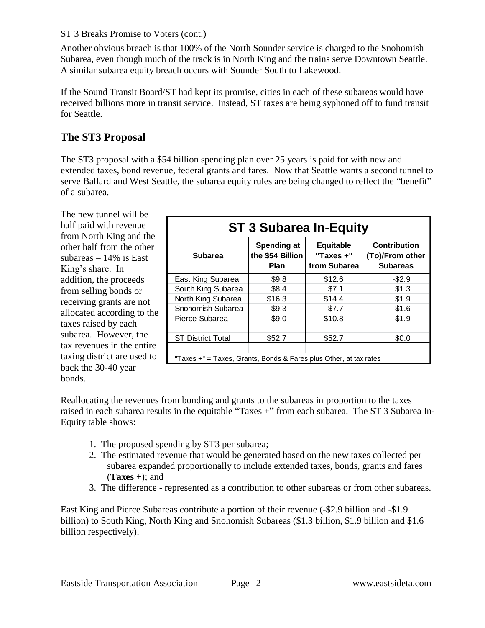#### ST 3 Breaks Promise to Voters (cont.)

Another obvious breach is that 100% of the North Sounder service is charged to the Snohomish Subarea, even though much of the track is in North King and the trains serve Downtown Seattle. A similar subarea equity breach occurs with Sounder South to Lakewood.

If the Sound Transit Board/ST had kept its promise, cities in each of these subareas would have received billions more in transit service. Instead, ST taxes are being syphoned off to fund transit for Seattle.

### **The ST3 Proposal**

The ST3 proposal with a \$54 billion spending plan over 25 years is paid for with new and extended taxes, bond revenue, federal grants and fares. Now that Seattle wants a second tunnel to serve Ballard and West Seattle, the subarea equity rules are being changed to reflect the "benefit" of a subarea.

| The new tunnel will be                              |     |
|-----------------------------------------------------|-----|
| half paid with revenue                              |     |
| from North King and the                             |     |
| other half from the other                           |     |
| subareas $-14\%$ is East                            |     |
| King's share. In                                    |     |
| addition, the proceeds                              | Eas |
| from selling bonds or                               | So  |
| receiving grants are not                            | Nor |
| allocated according to the                          | Sno |
| taxes raised by each                                | Pie |
| subarea. However, the<br>tax revenues in the entire | SТ  |
| taxing district are used to                         | "Ta |
| back the 30-40 year<br>bonds.                       |     |
|                                                     |     |

| <b>ST 3 Subarea In-Equity</b>                                     |                                                |                                               |                                                           |
|-------------------------------------------------------------------|------------------------------------------------|-----------------------------------------------|-----------------------------------------------------------|
| <b>Subarea</b>                                                    | Spending at<br>the \$54 Billion<br><b>Plan</b> | <b>Equitable</b><br>"Taxes +"<br>from Subarea | <b>Contribution</b><br>(To)/From other<br><b>Subareas</b> |
| East King Subarea                                                 | \$9.8                                          | \$12.6                                        | $-$2.9$                                                   |
| South King Subarea                                                | \$8.4                                          | \$7.1                                         | \$1.3                                                     |
| North King Subarea                                                | \$16.3                                         | \$14.4                                        | \$1.9                                                     |
| Snohomish Subarea                                                 | \$9.3                                          | \$7.7                                         | \$1.6                                                     |
| Pierce Subarea                                                    | \$9.0                                          | \$10.8                                        | $-$1.9$                                                   |
|                                                                   |                                                |                                               |                                                           |
| <b>ST District Total</b>                                          | \$52.7                                         | \$52.7                                        | \$0.0                                                     |
|                                                                   |                                                |                                               |                                                           |
| "Taxes +" = Taxes, Grants, Bonds & Fares plus Other, at tax rates |                                                |                                               |                                                           |

Reallocating the revenues from bonding and grants to the subareas in proportion to the taxes raised in each subarea results in the equitable "Taxes +" from each subarea. The ST 3 Subarea In-Equity table shows:

- 1. The proposed spending by ST3 per subarea;
- 2. The estimated revenue that would be generated based on the new taxes collected per subarea expanded proportionally to include extended taxes, bonds, grants and fares (**Taxes +**); and
- 3. The difference represented as a contribution to other subareas or from other subareas.

East King and Pierce Subareas contribute a portion of their revenue (-\$2.9 billion and -\$1.9 billion) to South King, North King and Snohomish Subareas (\$1.3 billion, \$1.9 billion and \$1.6 billion respectively).